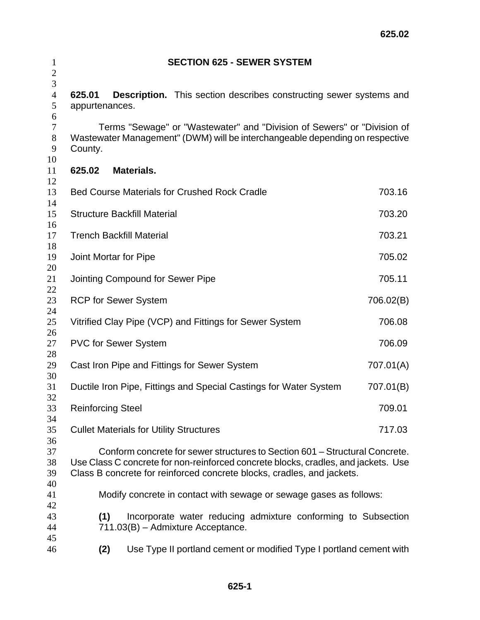| $\mathbf{1}$<br>$\overline{2}$ | <b>SECTION 625 - SEWER SYSTEM</b>                                                                                                                                                                                                           |           |  |  |
|--------------------------------|---------------------------------------------------------------------------------------------------------------------------------------------------------------------------------------------------------------------------------------------|-----------|--|--|
| 3<br>$\overline{4}$<br>5       | <b>Description.</b> This section describes constructing sewer systems and<br>625.01<br>appurtenances.                                                                                                                                       |           |  |  |
| 6<br>$\tau$<br>8<br>9<br>10    | Terms "Sewage" or "Wastewater" and "Division of Sewers" or "Division of<br>Wastewater Management" (DWM) will be interchangeable depending on respective<br>County.                                                                          |           |  |  |
| 11                             | Materials.<br>625.02                                                                                                                                                                                                                        |           |  |  |
| 12<br>13<br>14                 | <b>Bed Course Materials for Crushed Rock Cradle</b>                                                                                                                                                                                         | 703.16    |  |  |
| 15<br>16                       | <b>Structure Backfill Material</b>                                                                                                                                                                                                          | 703.20    |  |  |
| 17<br>18                       | <b>Trench Backfill Material</b>                                                                                                                                                                                                             | 703.21    |  |  |
| 19<br>20                       | Joint Mortar for Pipe<br>705.02                                                                                                                                                                                                             |           |  |  |
| 21<br>22                       | 705.11<br>Jointing Compound for Sewer Pipe                                                                                                                                                                                                  |           |  |  |
| 23<br>24                       | <b>RCP for Sewer System</b><br>706.02(B)                                                                                                                                                                                                    |           |  |  |
| 25<br>26                       | Vitrified Clay Pipe (VCP) and Fittings for Sewer System<br>706.08                                                                                                                                                                           |           |  |  |
| 27<br>28                       | <b>PVC for Sewer System</b>                                                                                                                                                                                                                 | 706.09    |  |  |
| 29<br>30                       | 707.01(A)<br>Cast Iron Pipe and Fittings for Sewer System                                                                                                                                                                                   |           |  |  |
| 31<br>32                       | Ductile Iron Pipe, Fittings and Special Castings for Water System                                                                                                                                                                           | 707.01(B) |  |  |
| 33<br>34                       | <b>Reinforcing Steel</b>                                                                                                                                                                                                                    | 709.01    |  |  |
| 35<br>36                       | <b>Cullet Materials for Utility Structures</b>                                                                                                                                                                                              | 717.03    |  |  |
| 37<br>38<br>39<br>40           | Conform concrete for sewer structures to Section 601 – Structural Concrete.<br>Use Class C concrete for non-reinforced concrete blocks, cradles, and jackets. Use<br>Class B concrete for reinforced concrete blocks, cradles, and jackets. |           |  |  |
| 41<br>42                       | Modify concrete in contact with sewage or sewage gases as follows:                                                                                                                                                                          |           |  |  |
| 43<br>44<br>45                 | Incorporate water reducing admixture conforming to Subsection<br>(1)<br>711.03(B) - Admixture Acceptance.                                                                                                                                   |           |  |  |
| 46                             | (2)<br>Use Type II portland cement or modified Type I portland cement with                                                                                                                                                                  |           |  |  |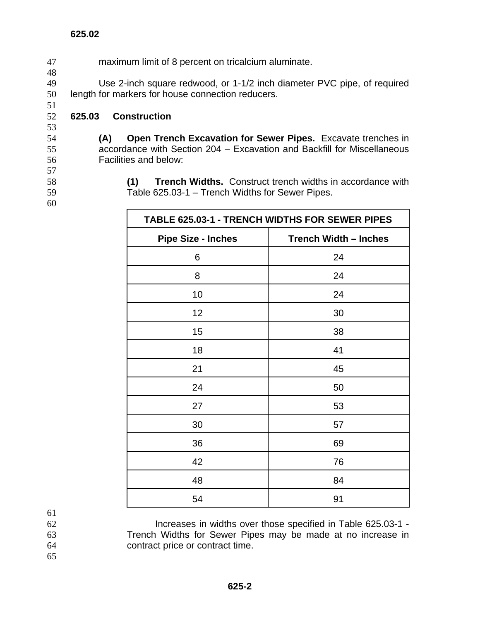47 maximum limit of 8 percent on tricalcium aluminate.

49 Use 2-inch square redwood, or 1-1/2 inch diameter PVC pipe, of required 50 length for markers for house connection reducers.

## 52 **625.03 Construction**

53

51

48

54 **(A) Open Trench Excavation for Sewer Pipes.** Excavate trenches in 55 accordance with Section 204 – Excavation and Backfill for Miscellaneous 56 Facilities and below:

58 **(1) Trench Widths.** Construct trench widths in accordance with 59 Table 625.03-1 – Trench Widths for Sewer Pipes.

60

57

| TABLE 625.03-1 - TRENCH WIDTHS FOR SEWER PIPES |                              |  |
|------------------------------------------------|------------------------------|--|
| <b>Pipe Size - Inches</b>                      | <b>Trench Width - Inches</b> |  |
| 6                                              | 24                           |  |
| 8                                              | 24                           |  |
| 10                                             | 24                           |  |
| 12                                             | 30                           |  |
| 15                                             | 38                           |  |
| 18                                             | 41                           |  |
| 21                                             | 45                           |  |
| 24                                             | 50                           |  |
| 27                                             | 53                           |  |
| 30                                             | 57                           |  |
| 36                                             | 69                           |  |
| 42                                             | 76                           |  |
| 48                                             | 84                           |  |
| 54                                             | 91                           |  |

61

62 Increases in widths over those specified in Table 625.03-1 - 63 Trench Widths for Sewer Pipes may be made at no increase in 64 contract price or contract time.

65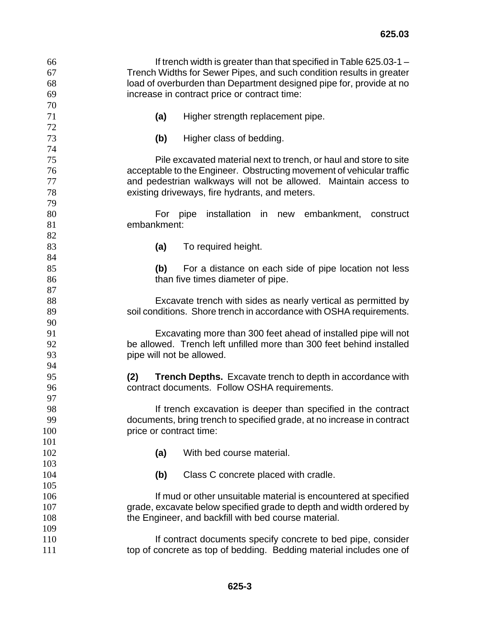| 66  | If trench width is greater than that specified in Table 625.03-1 –       |  |  |  |
|-----|--------------------------------------------------------------------------|--|--|--|
| 67  | Trench Widths for Sewer Pipes, and such condition results in greater     |  |  |  |
| 68  | load of overburden than Department designed pipe for, provide at no      |  |  |  |
| 69  | increase in contract price or contract time:                             |  |  |  |
| 70  |                                                                          |  |  |  |
| 71  | (a)<br>Higher strength replacement pipe.                                 |  |  |  |
| 72  |                                                                          |  |  |  |
| 73  | Higher class of bedding.<br>(b)                                          |  |  |  |
| 74  |                                                                          |  |  |  |
| 75  | Pile excavated material next to trench, or haul and store to site        |  |  |  |
| 76  | acceptable to the Engineer. Obstructing movement of vehicular traffic    |  |  |  |
| 77  | and pedestrian walkways will not be allowed. Maintain access to          |  |  |  |
| 78  | existing driveways, fire hydrants, and meters.                           |  |  |  |
| 79  |                                                                          |  |  |  |
| 80  | installation<br>embankment,<br>For pipe<br>in in<br>new<br>construct     |  |  |  |
| 81  | embankment:                                                              |  |  |  |
| 82  |                                                                          |  |  |  |
| 83  | (a)<br>To required height.                                               |  |  |  |
| 84  |                                                                          |  |  |  |
| 85  | (b)<br>For a distance on each side of pipe location not less             |  |  |  |
| 86  | than five times diameter of pipe.                                        |  |  |  |
| 87  |                                                                          |  |  |  |
| 88  | Excavate trench with sides as nearly vertical as permitted by            |  |  |  |
| 89  | soil conditions. Shore trench in accordance with OSHA requirements.      |  |  |  |
| 90  |                                                                          |  |  |  |
| 91  | Excavating more than 300 feet ahead of installed pipe will not           |  |  |  |
| 92  | be allowed. Trench left unfilled more than 300 feet behind installed     |  |  |  |
| 93  | pipe will not be allowed.                                                |  |  |  |
| 94  |                                                                          |  |  |  |
| 95  | (2)<br><b>Trench Depths.</b> Excavate trench to depth in accordance with |  |  |  |
| 96  | contract documents. Follow OSHA requirements.                            |  |  |  |
| 97  |                                                                          |  |  |  |
| 98  | If trench excavation is deeper than specified in the contract            |  |  |  |
| 99  | documents, bring trench to specified grade, at no increase in contract   |  |  |  |
| 100 | price or contract time:                                                  |  |  |  |
| 101 |                                                                          |  |  |  |
|     |                                                                          |  |  |  |
| 102 | With bed course material.<br>(a)                                         |  |  |  |
| 103 |                                                                          |  |  |  |
| 104 | Class C concrete placed with cradle.<br>(b)                              |  |  |  |
| 105 |                                                                          |  |  |  |
| 106 | If mud or other unsuitable material is encountered at specified          |  |  |  |
| 107 | grade, excavate below specified grade to depth and width ordered by      |  |  |  |
| 108 | the Engineer, and backfill with bed course material.                     |  |  |  |
| 109 |                                                                          |  |  |  |
| 110 | If contract documents specify concrete to bed pipe, consider             |  |  |  |
| 111 | top of concrete as top of bedding. Bedding material includes one of      |  |  |  |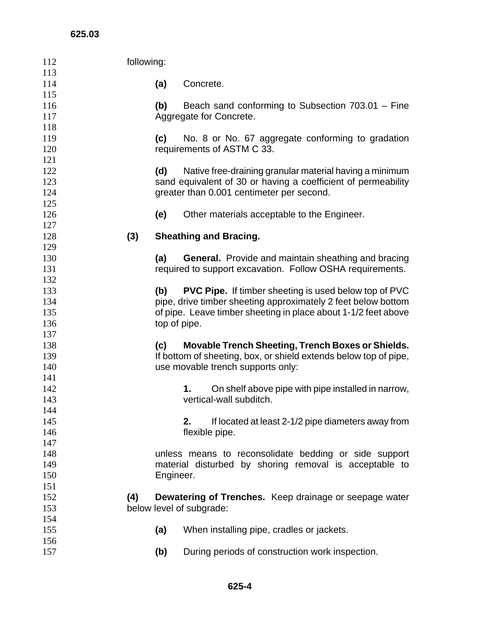| 112 | following: |                                                                  |
|-----|------------|------------------------------------------------------------------|
| 113 |            |                                                                  |
| 114 | (a)        | Concrete.                                                        |
| 115 |            |                                                                  |
| 116 | (b)        | Beach sand conforming to Subsection 703.01 - Fine                |
| 117 |            | Aggregate for Concrete.                                          |
| 118 |            |                                                                  |
| 119 | (c)        | No. 8 or No. 67 aggregate conforming to gradation                |
| 120 |            | requirements of ASTM C 33.                                       |
| 121 |            |                                                                  |
| 122 | (d)        | Native free-draining granular material having a minimum          |
| 123 |            | sand equivalent of 30 or having a coefficient of permeability    |
| 124 |            | greater than 0.001 centimeter per second.                        |
| 125 |            |                                                                  |
| 126 | (e)        | Other materials acceptable to the Engineer.                      |
| 127 |            |                                                                  |
| 128 | (3)        | <b>Sheathing and Bracing.</b>                                    |
| 129 |            |                                                                  |
| 130 | (a)        | <b>General.</b> Provide and maintain sheathing and bracing       |
| 131 |            | required to support excavation. Follow OSHA requirements.        |
| 132 |            |                                                                  |
| 133 | (b)        | <b>PVC Pipe.</b> If timber sheeting is used below top of PVC     |
| 134 |            | pipe, drive timber sheeting approximately 2 feet below bottom    |
| 135 |            | of pipe. Leave timber sheeting in place about 1-1/2 feet above   |
| 136 |            | top of pipe.                                                     |
| 137 |            |                                                                  |
| 138 | (c)        | <b>Movable Trench Sheeting, Trench Boxes or Shields.</b>         |
| 139 |            | If bottom of sheeting, box, or shield extends below top of pipe, |
| 140 |            | use movable trench supports only:                                |
| 141 |            |                                                                  |
| 142 |            | On shelf above pipe with pipe installed in narrow,<br>1.         |
| 143 |            | vertical-wall subditch.                                          |
| 144 |            |                                                                  |
| 145 |            | If located at least 2-1/2 pipe diameters away from<br>2.         |
| 146 |            | flexible pipe.                                                   |
| 147 |            |                                                                  |
| 148 |            | unless means to reconsolidate bedding or side support            |
| 149 |            | material disturbed by shoring removal is acceptable to           |
| 150 |            | Engineer.                                                        |
| 151 |            |                                                                  |
| 152 | (4)        | <b>Dewatering of Trenches.</b> Keep drainage or seepage water    |
| 153 |            | below level of subgrade:                                         |
| 154 |            |                                                                  |
| 155 | (a)        | When installing pipe, cradles or jackets.                        |
| 156 |            |                                                                  |
| 157 | (b)        | During periods of construction work inspection.                  |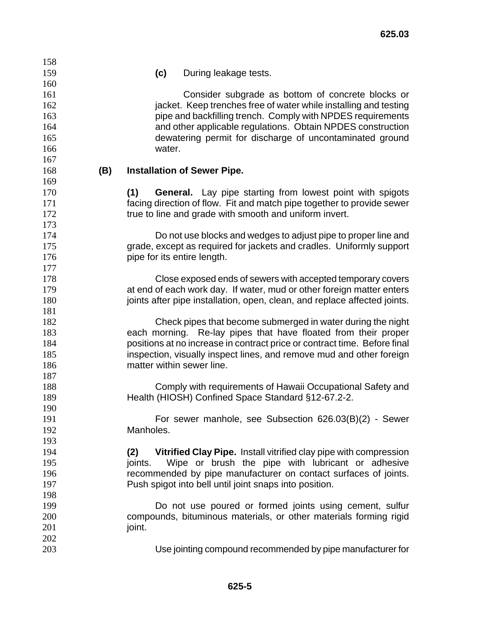| 158 |     |           |                                                                           |
|-----|-----|-----------|---------------------------------------------------------------------------|
| 159 |     | (c)       | During leakage tests.                                                     |
| 160 |     |           |                                                                           |
| 161 |     |           | Consider subgrade as bottom of concrete blocks or                         |
| 162 |     |           | jacket. Keep trenches free of water while installing and testing          |
| 163 |     |           | pipe and backfilling trench. Comply with NPDES requirements               |
| 164 |     |           | and other applicable regulations. Obtain NPDES construction               |
| 165 |     |           | dewatering permit for discharge of uncontaminated ground                  |
| 166 |     | water.    |                                                                           |
| 167 |     |           |                                                                           |
| 168 | (B) |           | <b>Installation of Sewer Pipe.</b>                                        |
| 169 |     |           |                                                                           |
| 170 |     | (1)       | General. Lay pipe starting from lowest point with spigots                 |
| 171 |     |           | facing direction of flow. Fit and match pipe together to provide sewer    |
| 172 |     |           | true to line and grade with smooth and uniform invert.                    |
| 173 |     |           |                                                                           |
| 174 |     |           | Do not use blocks and wedges to adjust pipe to proper line and            |
| 175 |     |           | grade, except as required for jackets and cradles. Uniformly support      |
| 176 |     |           | pipe for its entire length.                                               |
| 177 |     |           |                                                                           |
| 178 |     |           | Close exposed ends of sewers with accepted temporary covers               |
| 179 |     |           | at end of each work day. If water, mud or other foreign matter enters     |
| 180 |     |           | joints after pipe installation, open, clean, and replace affected joints. |
| 181 |     |           |                                                                           |
| 182 |     |           | Check pipes that become submerged in water during the night               |
| 183 |     |           | each morning. Re-lay pipes that have floated from their proper            |
| 184 |     |           | positions at no increase in contract price or contract time. Before final |
| 185 |     |           | inspection, visually inspect lines, and remove mud and other foreign      |
| 186 |     |           | matter within sewer line.                                                 |
| 187 |     |           |                                                                           |
| 188 |     |           | Comply with requirements of Hawaii Occupational Safety and                |
| 189 |     |           | Health (HIOSH) Confined Space Standard §12-67.2-2.                        |
| 190 |     |           |                                                                           |
| 191 |     |           | For sewer manhole, see Subsection 626.03(B)(2) - Sewer                    |
| 192 |     | Manholes. |                                                                           |
| 193 |     |           |                                                                           |
| 194 |     | (2)       | Vitrified Clay Pipe. Install vitrified clay pipe with compression         |
| 195 |     | joints.   | Wipe or brush the pipe with lubricant or adhesive                         |
| 196 |     |           | recommended by pipe manufacturer on contact surfaces of joints.           |
| 197 |     |           | Push spigot into bell until joint snaps into position.                    |
| 198 |     |           |                                                                           |
| 199 |     |           | Do not use poured or formed joints using cement, sulfur                   |
| 200 |     |           | compounds, bituminous materials, or other materials forming rigid         |
| 201 |     | joint.    |                                                                           |
| 202 |     |           |                                                                           |
| 203 |     |           | Use jointing compound recommended by pipe manufacturer for                |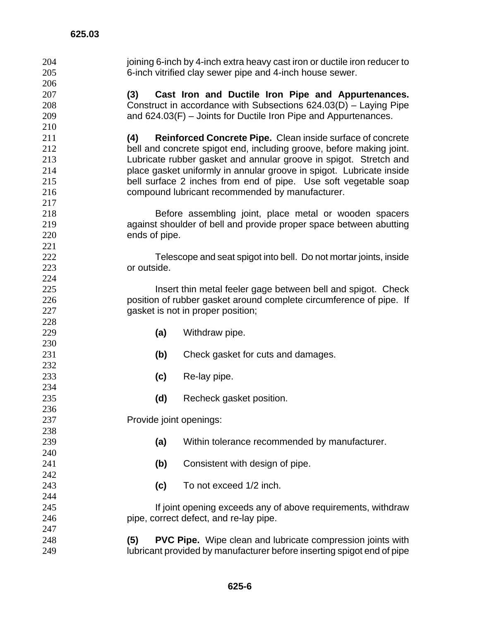204 joining 6-inch by 4-inch extra heavy cast iron or ductile iron reducer to 6-inch vitrified clay sewer pipe and 4-inch house sewer. **(3) Cast Iron and Ductile Iron Pipe and Appurtenances.**  Construct in accordance with Subsections 624.03(D) – Laying Pipe and 624.03(F) – Joints for Ductile Iron Pipe and Appurtenances. **(4) Reinforced Concrete Pipe.** Clean inside surface of concrete bell and concrete spigot end, including groove, before making joint. Lubricate rubber gasket and annular groove in spigot. Stretch and place gasket uniformly in annular groove in spigot. Lubricate inside bell surface 2 inches from end of pipe. Use soft vegetable soap compound lubricant recommended by manufacturer. Before assembling joint, place metal or wooden spacers against shoulder of bell and provide proper space between abutting ends of pipe. Telescope and seat spigot into bell. Do not mortar joints, inside or outside. **Insert thin metal feeler gage between bell and spigot. Check** position of rubber gasket around complete circumference of pipe. If 227 gasket is not in proper position; **(a)** Withdraw pipe. **(b)** Check gasket for cuts and damages. **(c)** Re-lay pipe. **(d)** Recheck gasket position. Provide joint openings: **(a)** Within tolerance recommended by manufacturer. **(b)** Consistent with design of pipe. **(c)** To not exceed 1/2 inch. If joint opening exceeds any of above requirements, withdraw pipe, correct defect, and re-lay pipe. **(5) PVC Pipe.** Wipe clean and lubricate compression joints with lubricant provided by manufacturer before inserting spigot end of pipe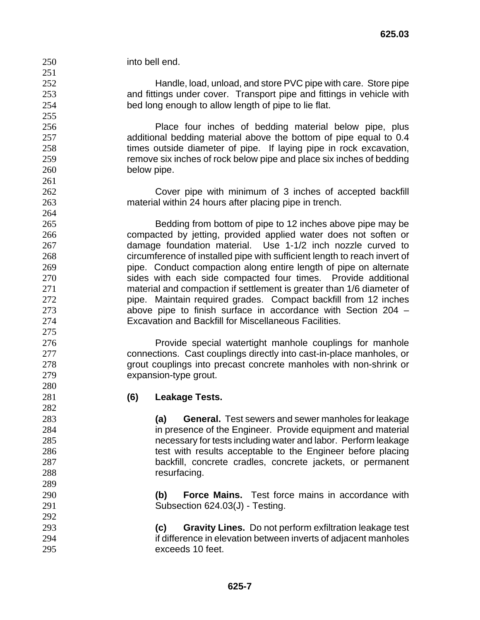into bell end. Handle, load, unload, and store PVC pipe with care. Store pipe and fittings under cover. Transport pipe and fittings in vehicle with bed long enough to allow length of pipe to lie flat. Place four inches of bedding material below pipe, plus additional bedding material above the bottom of pipe equal to 0.4 times outside diameter of pipe. If laying pipe in rock excavation, remove six inches of rock below pipe and place six inches of bedding below pipe. Cover pipe with minimum of 3 inches of accepted backfill material within 24 hours after placing pipe in trench. Bedding from bottom of pipe to 12 inches above pipe may be compacted by jetting, provided applied water does not soften or damage foundation material. Use 1-1/2 inch nozzle curved to circumference of installed pipe with sufficient length to reach invert of pipe. Conduct compaction along entire length of pipe on alternate sides with each side compacted four times. Provide additional material and compaction if settlement is greater than 1/6 diameter of **pipe.** Maintain required grades. Compact backfill from 12 inches above pipe to finish surface in accordance with Section 204 – Excavation and Backfill for Miscellaneous Facilities. Provide special watertight manhole couplings for manhole connections. Cast couplings directly into cast-in-place manholes, or grout couplings into precast concrete manholes with non-shrink or expansion-type grout. **(6) Leakage Tests. (a) General.** Test sewers and sewer manholes for leakage in presence of the Engineer. Provide equipment and material necessary for tests including water and labor. Perform leakage 286 test with results acceptable to the Engineer before placing backfill, concrete cradles, concrete jackets, or permanent 288 resurfacing. **(b) Force Mains.** Test force mains in accordance with Subsection 624.03(J) - Testing. **(c) Gravity Lines.** Do not perform exfiltration leakage test if difference in elevation between inverts of adjacent manholes exceeds 10 feet.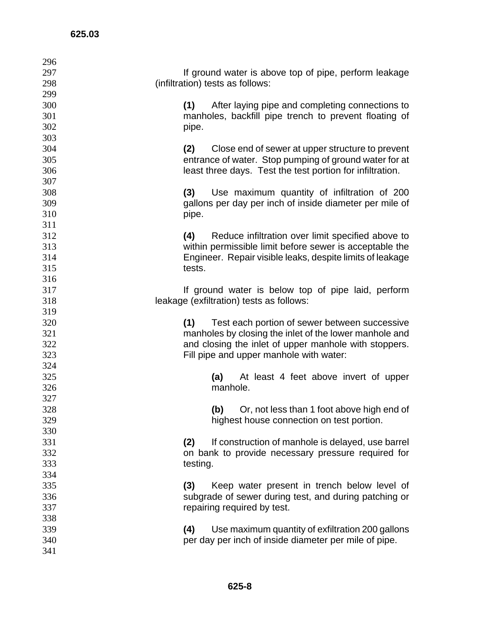| 296 |                                                           |
|-----|-----------------------------------------------------------|
| 297 | If ground water is above top of pipe, perform leakage     |
| 298 | (infiltration) tests as follows:                          |
| 299 |                                                           |
| 300 | After laying pipe and completing connections to<br>(1)    |
| 301 | manholes, backfill pipe trench to prevent floating of     |
| 302 | pipe.                                                     |
| 303 |                                                           |
| 304 | (2)<br>Close end of sewer at upper structure to prevent   |
| 305 | entrance of water. Stop pumping of ground water for at    |
| 306 | least three days. Test the test portion for infiltration. |
| 307 |                                                           |
| 308 | (3)<br>Use maximum quantity of infiltration of 200        |
| 309 | gallons per day per inch of inside diameter per mile of   |
| 310 | pipe.                                                     |
| 311 |                                                           |
| 312 | (4)<br>Reduce infiltration over limit specified above to  |
| 313 | within permissible limit before sewer is acceptable the   |
| 314 | Engineer. Repair visible leaks, despite limits of leakage |
| 315 | tests.                                                    |
| 316 |                                                           |
| 317 | If ground water is below top of pipe laid, perform        |
| 318 | leakage (exfiltration) tests as follows:                  |
| 319 |                                                           |
| 320 | Test each portion of sewer between successive<br>(1)      |
| 321 | manholes by closing the inlet of the lower manhole and    |
| 322 | and closing the inlet of upper manhole with stoppers.     |
| 323 | Fill pipe and upper manhole with water:                   |
| 324 |                                                           |
| 325 | At least 4 feet above invert of upper<br>(a)              |
| 326 | manhole.                                                  |
| 327 |                                                           |
| 328 | Or, not less than 1 foot above high end of<br>(b)         |
| 329 | highest house connection on test portion.                 |
| 330 |                                                           |
| 331 | (2)<br>If construction of manhole is delayed, use barrel  |
| 332 | on bank to provide necessary pressure required for        |
| 333 | testing.                                                  |
| 334 |                                                           |
| 335 | Keep water present in trench below level of<br>(3)        |
| 336 | subgrade of sewer during test, and during patching or     |
| 337 | repairing required by test.                               |
| 338 |                                                           |
| 339 | (4)<br>Use maximum quantity of exfiltration 200 gallons   |
| 340 | per day per inch of inside diameter per mile of pipe.     |
| 341 |                                                           |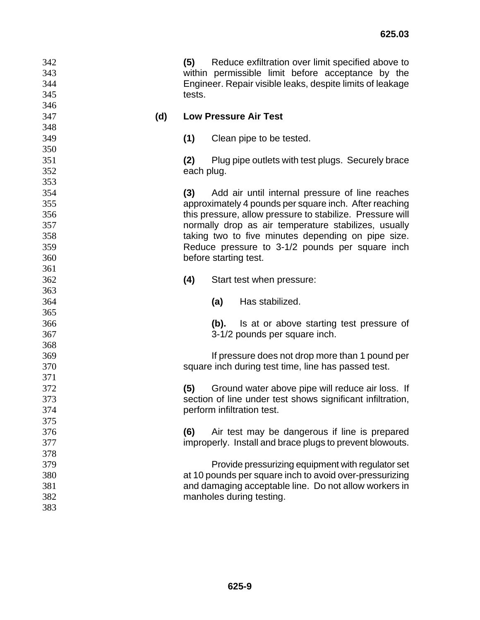| 342<br>343<br>344<br>345 | (5)<br>tests. | Reduce exfiltration over limit specified above to<br>within permissible limit before acceptance by the<br>Engineer. Repair visible leaks, despite limits of leakage |
|--------------------------|---------------|---------------------------------------------------------------------------------------------------------------------------------------------------------------------|
| 346<br>347<br>(d)        |               | <b>Low Pressure Air Test</b>                                                                                                                                        |
| 348                      |               |                                                                                                                                                                     |
| 349                      | (1)           | Clean pipe to be tested.                                                                                                                                            |
| 350                      |               |                                                                                                                                                                     |
| 351                      | (2)           | Plug pipe outlets with test plugs. Securely brace                                                                                                                   |
| 352                      | each plug.    |                                                                                                                                                                     |
| 353                      |               |                                                                                                                                                                     |
| 354                      | (3)           | Add air until internal pressure of line reaches                                                                                                                     |
| 355                      |               | approximately 4 pounds per square inch. After reaching                                                                                                              |
| 356                      |               | this pressure, allow pressure to stabilize. Pressure will                                                                                                           |
| 357                      |               | normally drop as air temperature stabilizes, usually                                                                                                                |
| 358                      |               | taking two to five minutes depending on pipe size.                                                                                                                  |
| 359                      |               | Reduce pressure to 3-1/2 pounds per square inch                                                                                                                     |
| 360                      |               | before starting test.                                                                                                                                               |
| 361                      |               |                                                                                                                                                                     |
| 362                      | (4)           | Start test when pressure:                                                                                                                                           |
| 363                      |               |                                                                                                                                                                     |
| 364                      |               | Has stabilized.<br>(a)                                                                                                                                              |
| 365                      |               |                                                                                                                                                                     |
| 366                      |               | Is at or above starting test pressure of<br>(b).                                                                                                                    |
| 367                      |               | 3-1/2 pounds per square inch.                                                                                                                                       |
| 368                      |               |                                                                                                                                                                     |
| 369                      |               | If pressure does not drop more than 1 pound per                                                                                                                     |
| 370                      |               | square inch during test time, line has passed test.                                                                                                                 |
| 371                      |               |                                                                                                                                                                     |
| 372                      | (5)           | Ground water above pipe will reduce air loss. If                                                                                                                    |
| 373                      |               | section of line under test shows significant infiltration,                                                                                                          |
| 374                      |               | perform infiltration test.                                                                                                                                          |
| 375                      |               |                                                                                                                                                                     |
| 376                      | (6)           | Air test may be dangerous if line is prepared                                                                                                                       |
| 377                      |               | improperly. Install and brace plugs to prevent blowouts.                                                                                                            |
| 378                      |               |                                                                                                                                                                     |
| 379                      |               | Provide pressurizing equipment with regulator set                                                                                                                   |
| 380                      |               | at 10 pounds per square inch to avoid over-pressurizing                                                                                                             |
| 381                      |               | and damaging acceptable line. Do not allow workers in                                                                                                               |
| 382                      |               | manholes during testing.                                                                                                                                            |
| 383                      |               |                                                                                                                                                                     |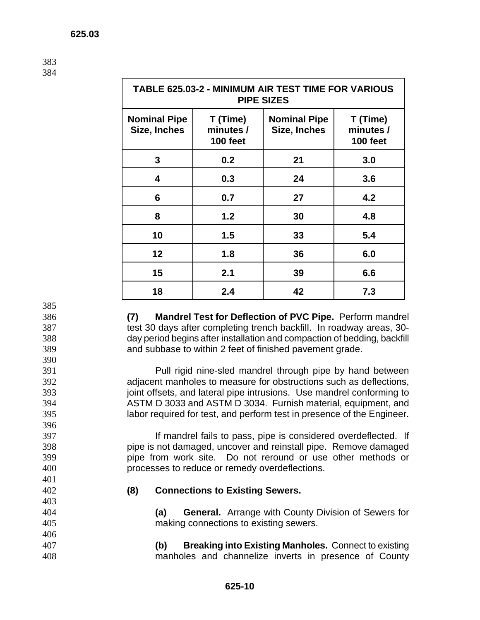383 384

| <b>TABLE 625.03-2 - MINIMUM AIR TEST TIME FOR VARIOUS</b><br><b>PIPE SIZES</b> |                                          |                                     |                                          |  |
|--------------------------------------------------------------------------------|------------------------------------------|-------------------------------------|------------------------------------------|--|
| <b>Nominal Pipe</b><br>Size, Inches                                            | T (Time)<br>minutes /<br><b>100 feet</b> | <b>Nominal Pipe</b><br>Size, Inches | T (Time)<br>minutes /<br><b>100 feet</b> |  |
| 3                                                                              | 0.2                                      | 21                                  | 3.0                                      |  |
| 4                                                                              | 0.3                                      | 24                                  | 3.6                                      |  |
| 6                                                                              | 0.7                                      | 27                                  | 4.2                                      |  |
| 8                                                                              | 1.2                                      | 30                                  | 4.8                                      |  |
| 10                                                                             | 1.5                                      | 33                                  | 5.4                                      |  |
| $12 \overline{ }$                                                              | 1.8                                      | 36                                  | 6.0                                      |  |
| 15                                                                             | 2.1                                      | 39                                  | 6.6                                      |  |
| 18                                                                             | 2.4                                      | 42                                  | 7.3                                      |  |

385

390

396

401

403

406

**(7) Mandrel Test for Deflection of PVC Pipe.** Perform mandrel test 30 days after completing trench backfill. In roadway areas, 30- day period begins after installation and compaction of bedding, backfill and subbase to within 2 feet of finished pavement grade.

Pull rigid nine-sled mandrel through pipe by hand between adjacent manholes to measure for obstructions such as deflections, 393 joint offsets, and lateral pipe intrusions. Use mandrel conforming to ASTM D 3033 and ASTM D 3034. Furnish material, equipment, and labor required for test, and perform test in presence of the Engineer.

If mandrel fails to pass, pipe is considered overdeflected. If pipe is not damaged, uncover and reinstall pipe. Remove damaged pipe from work site. Do not reround or use other methods or processes to reduce or remedy overdeflections.

## 402 **(8) Connections to Existing Sewers.**

404 **(a) General.** Arrange with County Division of Sewers for 405 making connections to existing sewers.

407 **(b) Breaking into Existing Manholes.** Connect to existing 408 manholes and channelize inverts in presence of County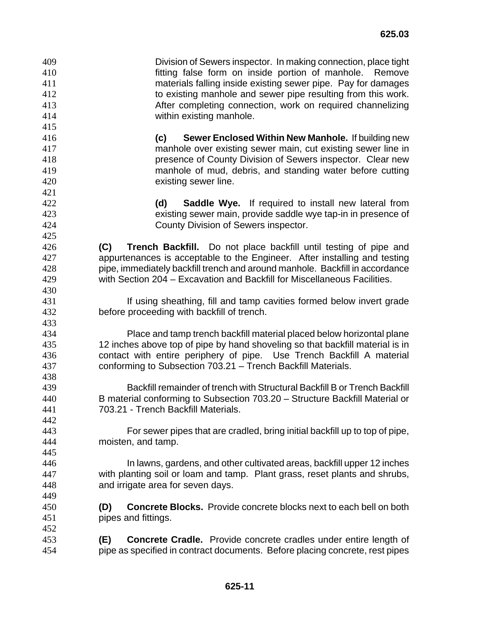Division of Sewers inspector. In making connection, place tight fitting false form on inside portion of manhole. Remove materials falling inside existing sewer pipe. Pay for damages to existing manhole and sewer pipe resulting from this work. After completing connection, work on required channelizing within existing manhole. **(c) Sewer Enclosed Within New Manhole.** If building new manhole over existing sewer main, cut existing sewer line in presence of County Division of Sewers inspector. Clear new manhole of mud, debris, and standing water before cutting existing sewer line. **(d) Saddle Wye.** If required to install new lateral from existing sewer main, provide saddle wye tap-in in presence of County Division of Sewers inspector. **(C) Trench Backfill.** Do not place backfill until testing of pipe and appurtenances is acceptable to the Engineer. After installing and testing pipe, immediately backfill trench and around manhole. Backfill in accordance with Section 204 – Excavation and Backfill for Miscellaneous Facilities. **If using sheathing, fill and tamp cavities formed below invert grade** before proceeding with backfill of trench. Place and tamp trench backfill material placed below horizontal plane 12 inches above top of pipe by hand shoveling so that backfill material is in contact with entire periphery of pipe. Use Trench Backfill A material conforming to Subsection 703.21 – Trench Backfill Materials. Backfill remainder of trench with Structural Backfill B or Trench Backfill B material conforming to Subsection 703.20 – Structure Backfill Material or 703.21 - Trench Backfill Materials. For sewer pipes that are cradled, bring initial backfill up to top of pipe, moisten, and tamp. In lawns, gardens, and other cultivated areas, backfill upper 12 inches with planting soil or loam and tamp. Plant grass, reset plants and shrubs, and irrigate area for seven days. **(D) Concrete Blocks.** Provide concrete blocks next to each bell on both pipes and fittings. **(E) Concrete Cradle.** Provide concrete cradles under entire length of pipe as specified in contract documents. Before placing concrete, rest pipes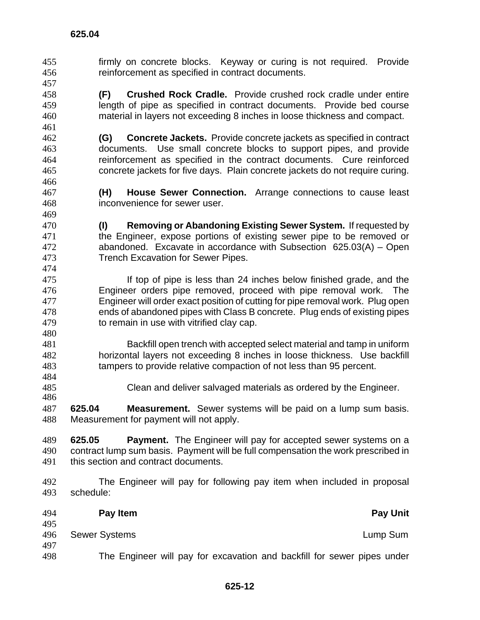- firmly on concrete blocks. Keyway or curing is not required. Provide reinforcement as specified in contract documents.
- **(F) Crushed Rock Cradle.** Provide crushed rock cradle under entire length of pipe as specified in contract documents. Provide bed course material in layers not exceeding 8 inches in loose thickness and compact.
- **(G) Concrete Jackets.** Provide concrete jackets as specified in contract documents. Use small concrete blocks to support pipes, and provide reinforcement as specified in the contract documents. Cure reinforced concrete jackets for five days. Plain concrete jackets do not require curing.
- **(H) House Sewer Connection.** Arrange connections to cause least inconvenience for sewer user.
- **(I) Removing or Abandoning Existing Sewer System.** If requested by the Engineer, expose portions of existing sewer pipe to be removed or abandoned. Excavate in accordance with Subsection 625.03(A) – Open Trench Excavation for Sewer Pipes.
- **If top of pipe is less than 24 inches below finished grade, and the** Engineer orders pipe removed, proceed with pipe removal work. The Engineer will order exact position of cutting for pipe removal work. Plug open ends of abandoned pipes with Class B concrete. Plug ends of existing pipes to remain in use with vitrified clay cap.
- Backfill open trench with accepted select material and tamp in uniform horizontal layers not exceeding 8 inches in loose thickness. Use backfill tampers to provide relative compaction of not less than 95 percent.
- Clean and deliver salvaged materials as ordered by the Engineer.
- **625.04 Measurement.** Sewer systems will be paid on a lump sum basis. Measurement for payment will not apply.
- **625.05 Payment.** The Engineer will pay for accepted sewer systems on a contract lump sum basis. Payment will be full compensation the work prescribed in this section and contract documents.
- The Engineer will pay for following pay item when included in proposal schedule:
- **Pay Item Pay Unit**  Sewer Systems Lump Sum The Engineer will pay for excavation and backfill for sewer pipes under